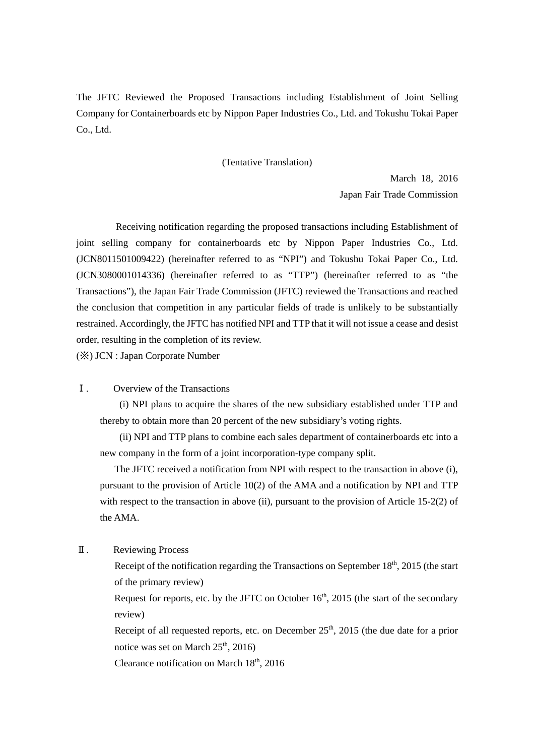The JFTC Reviewed the Proposed Transactions including Establishment of Joint Selling Company for Containerboards etc by Nippon Paper Industries Co., Ltd. and Tokushu Tokai Paper Co., Ltd.

## (Tentative Translation)

March 18, 2016 Japan Fair Trade Commission

Receiving notification regarding the proposed transactions including Establishment of joint selling company for containerboards etc by Nippon Paper Industries Co., Ltd. (JCN8011501009422) (hereinafter referred to as "NPI") and Tokushu Tokai Paper Co., Ltd. (JCN3080001014336) (hereinafter referred to as "TTP") (hereinafter referred to as "the Transactions"), the Japan Fair Trade Commission (JFTC) reviewed the Transactions and reached the conclusion that competition in any particular fields of trade is unlikely to be substantially restrained. Accordingly, the JFTC has notified NPI and TTP that it will not issue a cease and desist order, resulting in the completion of its review.

(※) JCN : Japan Corporate Number

Ⅰ. Overview of the Transactions

 (i) NPI plans to acquire the shares of the new subsidiary established under TTP and thereby to obtain more than 20 percent of the new subsidiary's voting rights.

 (ii) NPI and TTP plans to combine each sales department of containerboards etc into a new company in the form of a joint incorporation-type company split.

The JFTC received a notification from NPI with respect to the transaction in above (i), pursuant to the provision of Article 10(2) of the AMA and a notification by NPI and TTP with respect to the transaction in above (ii), pursuant to the provision of Article 15-2(2) of the AMA.

Ⅱ. Reviewing Process

Receipt of the notification regarding the Transactions on September  $18<sup>th</sup>$ , 2015 (the start of the primary review)

Request for reports, etc. by the JFTC on October  $16<sup>th</sup>$ , 2015 (the start of the secondary review)

Receipt of all requested reports, etc. on December  $25<sup>th</sup>$ , 2015 (the due date for a prior notice was set on March  $25<sup>th</sup>$ ,  $2016$ )

Clearance notification on March  $18<sup>th</sup>$ , 2016